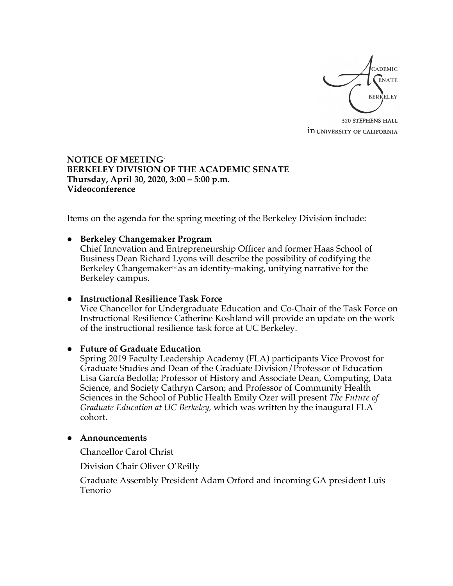

320 STEPHENS HALL **in UNIVERSITY OF CALIFORNIA** 

### **NOTICE OF MEETING\* BERKELEY DIVISION OF THE ACADEMIC SENATE Thursday, April 30, 2020, 3:00 – 5:00 p.m. Videoconference**

Items on the agenda for the spring meeting of the Berkeley Division include:

#### ● **Berkeley Changemaker Program**

Chief Innovation and Entrepreneurship Officer and former Haas School of Business Dean Richard Lyons will describe the possibility of codifying the Berkeley Changemaker<sup> $M$ </sup> as an identity-making, unifying narrative for the Berkeley campus.

#### ● **Instructional Resilience Task Force**

Vice Chancellor for Undergraduate Education and Co-Chair of the Task Force on Instructional Resilience Catherine Koshland will provide an update on the work of the instructional resilience task force at UC Berkeley.

#### ● **Future of Graduate Education**

Spring 2019 Faculty Leadership Academy (FLA) participants Vice Provost for Graduate Studies and Dean of the Graduate Division/Professor of Education Lisa García Bedolla; Professor of History and Associate Dean, Computing, Data Science, and Society Cathryn Carson; and Professor of Community Health Sciences in the School of Public Health Emily Ozer will present *The Future of Graduate Education at UC Berkeley,* which was written by the inaugural FLA cohort.

#### ● **Announcements**

Chancellor Carol Christ

Division Chair Oliver O'Reilly

Graduate Assembly President Adam Orford and incoming GA president Luis Tenorio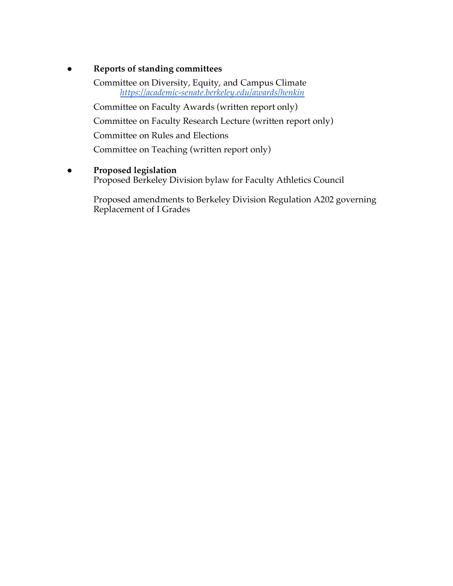# ● **Reports of standing committees**

Committee on Diversity, Equity, and Campus Climate *https://academic-senate.berkeley.edu/awards/henkin*

Committee on Faculty Awards (written report only)

Committee on Faculty Research Lecture (written report only)

Committee on Rules and Elections

Committee on Teaching (written report only)

# ● **Proposed legislation**

Proposed Berkeley Division bylaw for Faculty Athletics Council

Proposed amendments to Berkeley Division Regulation A202 governing Replacement of I Grades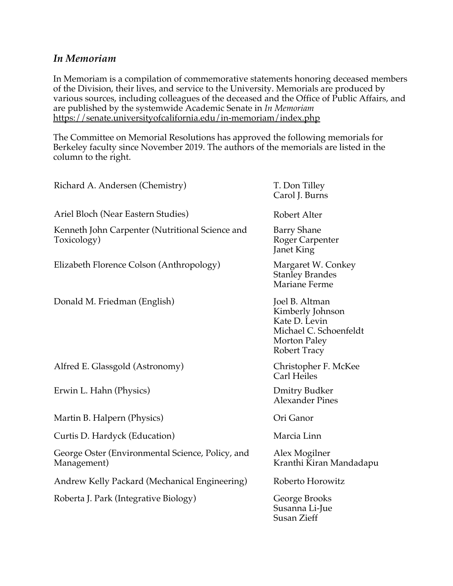# *In Memoriam*

In Memoriam is a compilation of commemorative statements honoring deceased members of the Division, their lives, and service to the University. Memorials are produced by various sources, including colleagues of the deceased and the Office of Public Affairs, and are published by the systemwide Academic Senate in *In Memoriam* https://senate.universityofcalifornia.edu/in-memoriam/index.php

The Committee on Memorial Resolutions has approved the following memorials for Berkeley faculty since November 2019. The authors of the memorials are listed in the column to the right.

| Richard A. Andersen (Chemistry)                                 | T. Don Tilley<br>Carol J. Burns                                                                                      |
|-----------------------------------------------------------------|----------------------------------------------------------------------------------------------------------------------|
| Ariel Bloch (Near Eastern Studies)                              | Robert Alter                                                                                                         |
| Kenneth John Carpenter (Nutritional Science and<br>Toxicology)  | <b>Barry Shane</b><br>Roger Carpenter<br><b>Janet King</b>                                                           |
| Elizabeth Florence Colson (Anthropology)                        | Margaret W. Conkey<br><b>Stanley Brandes</b><br>Mariane Ferme                                                        |
| Donald M. Friedman (English)                                    | Joel B. Altman<br>Kimberly Johnson<br>Kate D. Levin<br>Michael C. Schoenfeldt<br>Morton Paley<br><b>Robert Tracy</b> |
| Alfred E. Glassgold (Astronomy)                                 | Christopher F. McKee<br><b>Carl Heiles</b>                                                                           |
| Erwin L. Hahn (Physics)                                         | <b>Dmitry Budker</b><br><b>Alexander Pines</b>                                                                       |
| Martin B. Halpern (Physics)                                     | Ori Ganor                                                                                                            |
| Curtis D. Hardyck (Education)                                   | Marcia Linn                                                                                                          |
| George Oster (Environmental Science, Policy, and<br>Management) | Alex Mogilner<br>Kranthi Kiran Mandadapu                                                                             |
| Andrew Kelly Packard (Mechanical Engineering)                   | Roberto Horowitz                                                                                                     |
| Roberta J. Park (Integrative Biology)                           | George Brooks<br>Susanna Li-Jue                                                                                      |

Susan Zieff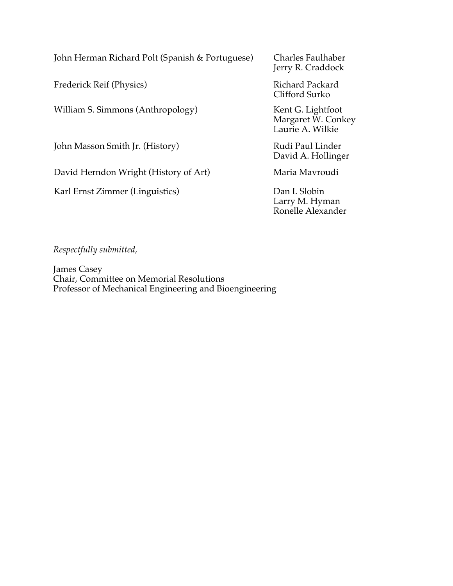John Herman Richard Polt (Spanish & Portuguese) Charles Faulhaber

Frederick Reif (Physics) Richard Packard

William S. Simmons (Anthropology) Kent G. Lightfoot

John Masson Smith Jr. (History) Rudi Paul Linder

David Herndon Wright (History of Art) Maria Mavroudi

Karl Ernst Zimmer (Linguistics) Dan I. Slobin

Jerry R. Craddock

Clifford Surko

Margaret W. Conkey Laurie A. Wilkie

David A. Hollinger

Larry M. Hyman Ronelle Alexander

*Respectfully submitted,*

James Casey Chair, Committee on Memorial Resolutions Professor of Mechanical Engineering and Bioengineering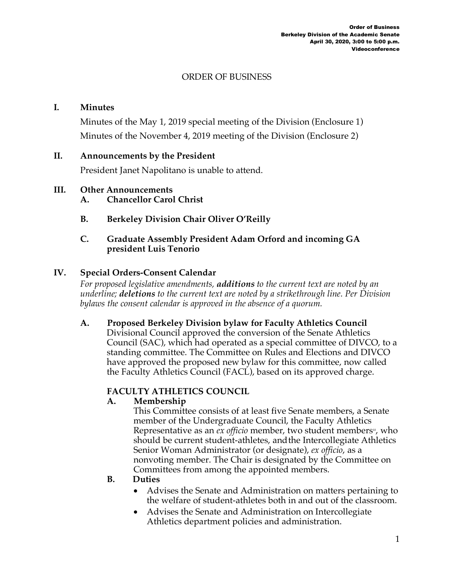# ORDER OF BUSINESS

### **I. Minutes**

Minutes of the May 1, 2019 special meeting of the Division (Enclosure 1) Minutes of the November 4, 2019 meeting of the Division (Enclosure 2)

### **II. Announcements by the President**

President Janet Napolitano is unable to attend.

### **III. Other Announcements**

- **A. Chancellor Carol Christ**
- **B. Berkeley Division Chair Oliver O'Reilly**

### **C. Graduate Assembly President Adam Orford and incoming GA president Luis Tenorio**

# **IV. Special Orders-Consent Calendar**

*For proposed legislative amendments, additions to the current text are noted by an underline; deletions to the current text are noted by a strikethrough line. Per Division bylaws the consent calendar is approved in the absence of a quorum.*

# **A. Proposed Berkeley Division bylaw for Faculty Athletics Council**

Divisional Council approved the conversion of the Senate Athletics Council (SAC), which had operated as a special committee of DIVCO, to a standing committee. The Committee on Rules and Elections and DIVCO have approved the proposed new bylaw for this committee, now called the Faculty Athletics Council (FACL), based on its approved charge.

# **FACULTY ATHLETICS COUNCIL**

# **A. Membership**

This Committee consists of at least five Senate members, a Senate member of the Undergraduate Council, the Faculty Athletics Representative as an *ex officio* member, two student members<sub>"</sub>, who should be current student-athletes, andthe Intercollegiate Athletics Senior Woman Administrator (or designate), *ex officio*, as a nonvoting member. The Chair is designated by the Committee on Committees from among the appointed members.

# **B. Duties**

- Advises the Senate and Administration on matters pertaining to the welfare of student-athletes both in and out of the classroom.
- Advises the Senate and Administration on Intercollegiate Athletics department policies and administration.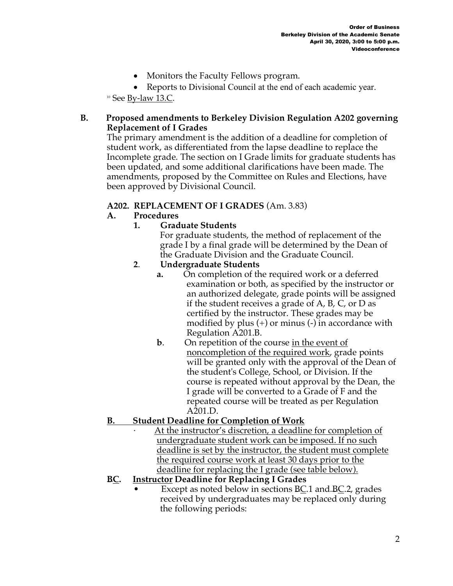• Monitors the Faculty Fellows program.

• Reports to Divisional Council at the end of each academic year.

 $10$  See By-law 13.C.

# **B. Proposed amendments to Berkeley Division Regulation A202 governing Replacement of I Grades**

The primary amendment is the addition of a deadline for completion of student work, as differentiated from the lapse deadline to replace the Incomplete grade. The section on I Grade limits for graduate students has been updated, and some additional clarifications have been made. The amendments, proposed by the Committee on Rules and Elections, have been approved by Divisional Council.

# **A202. REPLACEMENT OF I GRADES** (Am. 3.83)

# **A. Procedures**

# **1. Graduate Students**

For graduate students, the method of replacement of the grade I by a final grade will be determined by the Dean of the Graduate Division and the Graduate Council.

# **2**. **Undergraduate Students**

- **a.** On completion of the required work or a deferred examination or both, as specified by the instructor or an authorized delegate, grade points will be assigned if the student receives a grade of A, B, C, or D as certified by the instructor. These grades may be modified by plus  $(+)$  or minus  $(-)$  in accordance with Regulation A201.B.
- **b**. On repetition of the course in the event of noncompletion of the required work, grade points will be granted only with the approval of the Dean of the student's College, School, or Division. If the course is repeated without approval by the Dean, the I grade will be converted to a Grade of F and the repeated course will be treated as per Regulation A201.D.

# **B. Student Deadline for Completion of Work**

At the instructor's discretion, a deadline for completion of undergraduate student work can be imposed. If no such deadline is set by the instructor, the student must complete the required course work at least 30 days prior to the deadline for replacing the I grade (see table below).

# **BC. Instructor Deadline for Replacing I Grades**

Except as noted below in sections BC.1 and BC.2, grades received by undergraduates may be replaced only during the following periods: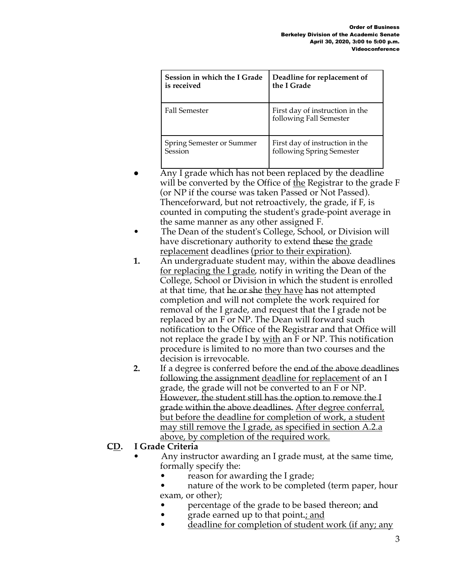| Session in which the I Grade | Deadline for replacement of                                |
|------------------------------|------------------------------------------------------------|
| is received                  | the I Grade                                                |
| <b>Fall Semester</b>         | First day of instruction in the<br>following Fall Semester |
| Spring Semester or Summer    | First day of instruction in the                            |
| Session                      | following Spring Semester                                  |

- Any I grade which has not been replaced by the deadline will be converted by the Office of the Registrar to the grade  $F$ (or NP if the course was taken Passed or Not Passed). Thenceforward, but not retroactively, the grade, if F, is counted in computing the student's grade-point average in the same manner as any other assigned F.
- The Dean of the student's College, School, or Division will have discretionary authority to extend these the grade replacement deadlines (prior to their expiration).
- **1.** An undergraduate student may, within the above deadlines for replacing the I grade, notify in writing the Dean of the College, School or Division in which the student is enrolled at that time, that he or she they have has not attempted completion and will not complete the work required for removal of the I grade, and request that the I grade not be replaced by an F or NP. The Dean will forward such notification to the Office of the Registrar and that Office will not replace the grade I by <u>with</u> an F or NP. This notification procedure is limited to no more than two courses and the decision is irrevocable.
- **2.** If a degree is conferred before the end of the above deadlines following the assignment deadline for replacement of an I grade, the grade will not be converted to an F or NP. However, the student still has the option to remove the I grade within the above deadlines. After degree conferral, but before the deadline for completion of work, a student may still remove the I grade, as specified in section A.2.a above, by completion of the required work.

# **CD. I Grade Criteria**

- Any instructor awarding an I grade must, at the same time, formally specify the:
	- reason for awarding the I grade;
	- nature of the work to be completed (term paper, hour exam, or other);
	- percentage of the grade to be based thereon; and
	- grade earned up to that point.; and
	- deadline for completion of student work (if any; any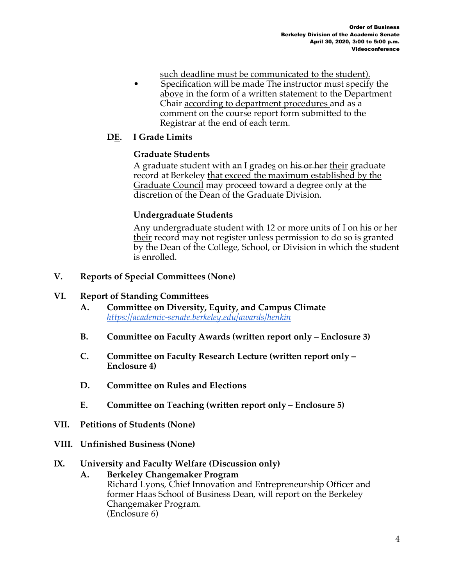- such deadline must be communicated to the student).
- Specification will be made The instructor must specify the above in the form of a written statement to the Department Chair according to department procedures and as a comment on the course report form submitted to the Registrar at the end of each term.

# **DE. I Grade Limits**

# **Graduate Students**

A graduate student with an I grades on his or her their graduate record at Berkeley that exceed the maximum established by the Graduate Council may proceed toward a degree only at the discretion of the Dean of the Graduate Division.

# **Undergraduate Students**

Any undergraduate student with 12 or more units of I on his or her their record may not register unless permission to do so is granted by the Dean of the College, School, or Division in which the student is enrolled.

### **V. Reports of Special Committees (None)**

### **VI. Report of Standing Committees**

- **A. Committee on Diversity, Equity, and Campus Climate**  *https://academic-senate.berkeley.edu/awards/henkin*
- **B. Committee on Faculty Awards (written report only – Enclosure 3)**
- **C. Committee on Faculty Research Lecture (written report only – Enclosure 4)**
- **D. Committee on Rules and Elections**
- **E. Committee on Teaching (written report only – Enclosure 5)**
- **VII. Petitions of Students (None)**
- **VIII. Unfinished Business (None)**

#### **IX. University and Faculty Welfare (Discussion only)**

**A. Berkeley Changemaker Program**  Richard Lyons, Chief Innovation and Entrepreneurship Officer and former Haas School of Business Dean, will report on the Berkeley Changemaker Program. (Enclosure 6)